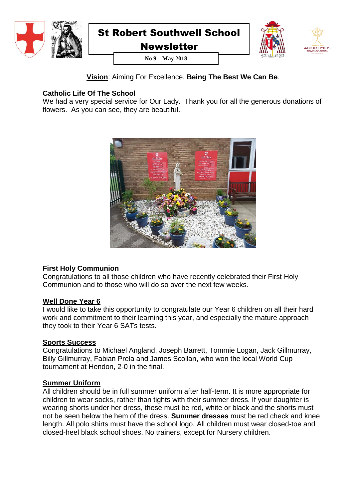



**ORFMUS** 

**Newsletter No 9 – May 2018**

## **Vision**: Aiming For Excellence, **Being The Best We Can Be**.

## **Catholic Life Of The School**

We had a very special service for Our Lady. Thank you for all the generous donations of flowers. As you can see, they are beautiful.



## **First Holy Communion**

Congratulations to all those children who have recently celebrated their First Holy Communion and to those who will do so over the next few weeks.

### **Well Done Year 6**

I would like to take this opportunity to congratulate our Year 6 children on all their hard work and commitment to their learning this year, and especially the mature approach they took to their Year 6 SATs tests.

### **Sports Success**

Congratulations to Michael Angland, Joseph Barrett, Tommie Logan, Jack Gillmurray, Billy Gillmurray, Fabian Prela and James Scollan, who won the local World Cup tournament at Hendon, 2-0 in the final.

### **Summer Uniform**

All children should be in full summer uniform after half-term. It is more appropriate for children to wear socks, rather than tights with their summer dress. If your daughter is wearing shorts under her dress, these must be red, white or black and the shorts must not be seen below the hem of the dress. **Summer dresses** must be red check and knee length. All polo shirts must have the school logo. All children must wear closed-toe and closed-heel black school shoes. No trainers, except for Nursery children.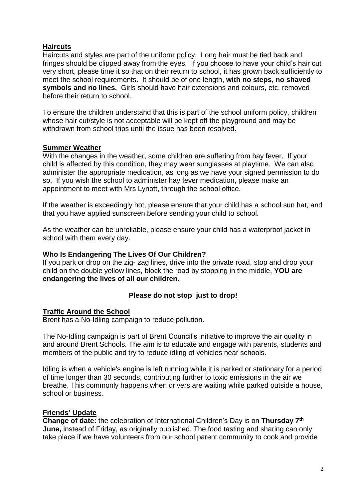### **Haircuts**

Haircuts and styles are part of the uniform policy. Long hair must be tied back and fringes should be clipped away from the eyes. If you choose to have your child's hair cut very short, please time it so that on their return to school, it has grown back sufficiently to meet the school requirements. It should be of one length, **with no steps, no shaved symbols and no lines.** Girls should have hair extensions and colours, etc. removed before their return to school.

To ensure the children understand that this is part of the school uniform policy, children whose hair cut/style is not acceptable will be kept off the playground and may be withdrawn from school trips until the issue has been resolved.

#### **Summer Weather**

With the changes in the weather, some children are suffering from hay fever. If your child is affected by this condition, they may wear sunglasses at playtime. We can also administer the appropriate medication, as long as we have your signed permission to do so. If you wish the school to administer hay fever medication, please make an appointment to meet with Mrs Lynott, through the school office.

If the weather is exceedingly hot, please ensure that your child has a school sun hat, and that you have applied sunscreen before sending your child to school.

As the weather can be unreliable, please ensure your child has a waterproof jacket in school with them every day.

#### **Who Is Endangering The Lives Of Our Children?**

If you park or drop on the zig- zag lines, drive into the private road, stop and drop your child on the double yellow lines, block the road by stopping in the middle, **YOU are endangering the lives of all our children.**

### **Please do not stop just to drop!**

#### **Traffic Around the School**

Brent has a No-Idling campaign to reduce pollution.

The No-Idling campaign is part of Brent Council's initiative to improve the air quality in and around Brent Schools. The aim is to educate and engage with parents, students and members of the public and try to reduce idling of vehicles near schools.

Idling is when a vehicle's engine is left running while it is parked or stationary for a period of time longer than 30 seconds, contributing further to toxic emissions in the air we breathe. This commonly happens when drivers are waiting while parked outside a house, school or business.

#### **Friends' Update**

**Change of date:** the celebration of International Children's Day is on **Thursday 7th June,** instead of Friday, as originally published. The food tasting and sharing can only take place if we have volunteers from our school parent community to cook and provide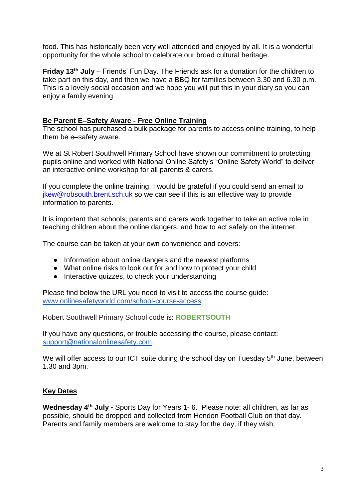food. This has historically been very well attended and enjoyed by all. It is a wonderful opportunity for the whole school to celebrate our broad cultural heritage.

**Friday 13th July** – Friends' Fun Day. The Friends ask for a donation for the children to take part on this day, and then we have a BBQ for families between 3.30 and 6.30 p.m. This is a lovely social occasion and we hope you will put this in your diary so you can enjoy a family evening.

#### **Be Parent E–Safety Aware - Free Online Training**

The school has purchased a bulk package for parents to access online training, to help them be e–safety aware.

We at St Robert Southwell Primary School have shown our commitment to protecting pupils online and worked with National Online Safety's "Online Safety World" to deliver an interactive online workshop for all parents & carers.

If you complete the online training, I would be grateful if you could send an email to [jkew@robsouth.brent.sch.uk](mailto:jkew@robsouth.brent.sch.uk) so we can see if this is an effective way to provide information to parents.

It is important that schools, parents and carers work together to take an active role in teaching children about the online dangers, and how to act safely on the internet.

The course can be taken at your own convenience and covers:

- Information about online dangers and the newest platforms
- What online risks to look out for and how to protect your child
- Interactive quizzes, to check your understanding

Please find below the URL you need to visit to access the course guide: [www.onlinesafetyworld.com/school-course-access](http://www.onlinesafetyworld.com/school-course-access)

Robert Southwell Primary School code is: **ROBERTSOUTH**

If you have any questions, or trouble accessing the course, please contact: [support@nationalonlinesafety.com.](mailto:support@nationalonlinesafety.com)

We will offer access to our ICT suite during the school day on Tuesday 5<sup>th</sup> June, between 1.30 and 3pm.

### **Key Dates**

**Wednesday 4th July -** Sports Day for Years 1- 6. Please note: all children, as far as possible, should be dropped and collected from Hendon Football Club on that day. Parents and family members are welcome to stay for the day, if they wish.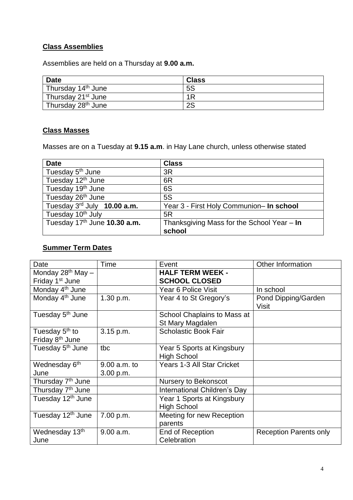# **Class Assemblies**

Assemblies are held on a Thursday at **9.00 a.m.**

| <b>Date</b>                                 | <b>Class</b> |
|---------------------------------------------|--------------|
| Thursday 14 <sup>th</sup> June              | 5S           |
| <sup>'</sup> Thursday 21 <sup>st</sup> June | 1R           |
| Thursday 28 <sup>th</sup> June              | 2S           |

# **Class Masses**

Masses are on a Tuesday at **9.15 a.m**. in Hay Lane church, unless otherwise stated

| <b>Date</b>                             | <b>Class</b>                                 |
|-----------------------------------------|----------------------------------------------|
| Tuesday 5 <sup>th</sup> June            | 3R                                           |
| Tuesday 12 <sup>th</sup> June           | 6R                                           |
| Tuesday 19 <sup>th</sup> June           | 6S                                           |
| Tuesday 26th June                       | 5S                                           |
| Tuesday $3^{\text{rd}}$ July 10.00 a.m. | Year 3 - First Holy Communion- In school     |
| Tuesday 10 <sup>th</sup> July           | 5R                                           |
| Tuesday 17th June 10.30 a.m.            | Thanksgiving Mass for the School Year $-$ In |
|                                         | school                                       |

# **Summer Term Dates**

| Date                          | Time           | Event                        | <b>Other Information</b>            |
|-------------------------------|----------------|------------------------------|-------------------------------------|
| Monday $28^{th}$ May $-$      |                | <b>HALF TERM WEEK -</b>      |                                     |
| Friday 1 <sup>st</sup> June   |                | <b>SCHOOL CLOSED</b>         |                                     |
| Monday 4 <sup>th</sup> June   |                | Year 6 Police Visit          | In school                           |
| Monday 4 <sup>th</sup> June   | 1.30 p.m.      | Year 4 to St Gregory's       | Pond Dipping/Garden<br><b>Visit</b> |
| Tuesday 5 <sup>th</sup> June  |                | School Chaplains to Mass at  |                                     |
|                               |                | St Mary Magdalen             |                                     |
| Tuesday 5 <sup>th</sup> to    | 3.15 p.m.      | <b>Scholastic Book Fair</b>  |                                     |
| Friday 8 <sup>th</sup> June   |                |                              |                                     |
| Tuesday 5 <sup>th</sup> June  | tbc            | Year 5 Sports at Kingsbury   |                                     |
|                               |                | <b>High School</b>           |                                     |
| Wednesday 6 <sup>th</sup>     | $9.00$ a.m. to | Years 1-3 All Star Cricket   |                                     |
| June                          | 3.00 p.m.      |                              |                                     |
| Thursday 7 <sup>th</sup> June |                | Nursery to Bekonscot         |                                     |
| Thursday 7 <sup>th</sup> June |                | International Children's Day |                                     |
| Tuesday 12 <sup>th</sup> June |                | Year 1 Sports at Kingsbury   |                                     |
|                               |                | <b>High School</b>           |                                     |
| Tuesday 12 <sup>th</sup> June | 7.00 p.m.      | Meeting for new Reception    |                                     |
|                               |                | parents                      |                                     |
| Wednesday 13th                | 9.00 a.m.      | <b>End of Reception</b>      | <b>Reception Parents only</b>       |
| June                          |                | Celebration                  |                                     |